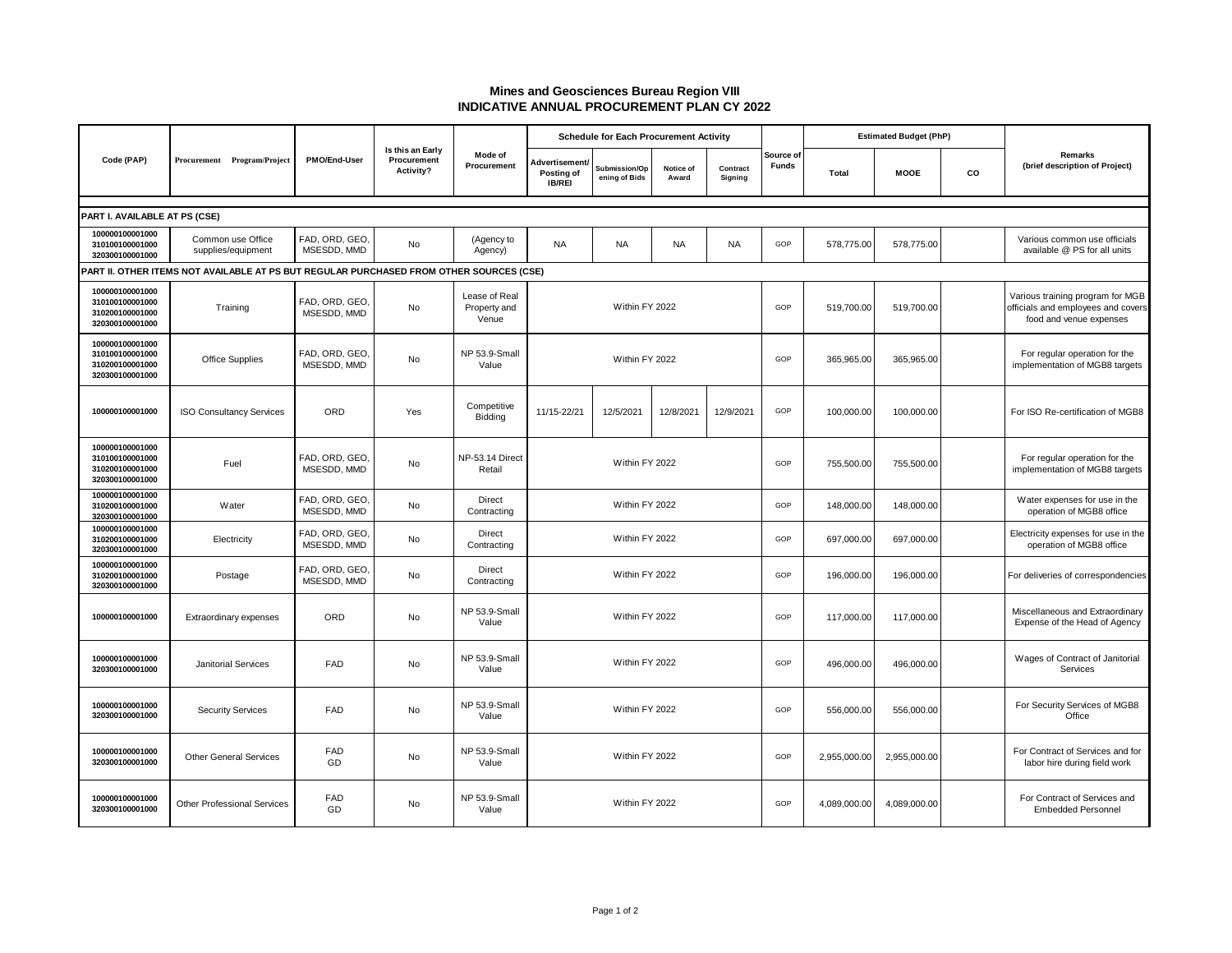## **Mines and Geosciences Bureau Region VIII INDICATIVE ANNUAL PROCUREMENT PLAN CY 2022**

| Code (PAP)                                                                              | Procurement Program/Project             | <b>PMO/End-User</b>           | Is this an Early<br>Procurement<br>Activity? | Mode of<br>Procurement                 | <b>Schedule for Each Procurement Activity</b> |                                |                    |                     |                           | <b>Estimated Budget (PhP)</b> |              |                                                           |                                                                                                   |
|-----------------------------------------------------------------------------------------|-----------------------------------------|-------------------------------|----------------------------------------------|----------------------------------------|-----------------------------------------------|--------------------------------|--------------------|---------------------|---------------------------|-------------------------------|--------------|-----------------------------------------------------------|---------------------------------------------------------------------------------------------------|
|                                                                                         |                                         |                               |                                              |                                        | Advertisement/<br>Posting of<br>IB/REI        | Submission/Op<br>ening of Bids | Notice of<br>Award | Contract<br>Signing | Source of<br><b>Funds</b> | <b>Total</b>                  | <b>MOOE</b>  | CO                                                        | Remarks<br>(brief description of Project)                                                         |
| PART I. AVAILABLE AT PS (CSE)                                                           |                                         |                               |                                              |                                        |                                               |                                |                    |                     |                           |                               |              |                                                           |                                                                                                   |
| 100000100001000<br>310100100001000<br>320300100001000                                   | Common use Office<br>supplies/equipment | FAD, ORD, GEO,<br>MSESDD, MMD | <b>No</b>                                    | (Agency to<br>Agency)                  | <b>NA</b>                                     | <b>NA</b>                      | <b>NA</b>          | <b>NA</b>           | GOP                       | 578,775.00                    | 578,775.00   |                                                           | Various common use officials<br>available @ PS for all units                                      |
| PART II. OTHER ITEMS NOT AVAILABLE AT PS BUT REGULAR PURCHASED FROM OTHER SOURCES (CSE) |                                         |                               |                                              |                                        |                                               |                                |                    |                     |                           |                               |              |                                                           |                                                                                                   |
| 100000100001000<br>310100100001000<br>310200100001000<br>320300100001000                | Training                                | FAD, ORD, GEO,<br>MSESDD, MMD | <b>No</b>                                    | Lease of Real<br>Property and<br>Venue | Within FY 2022                                |                                |                    |                     | GOP                       | 519,700.00                    | 519,700.00   |                                                           | Various training program for MGB<br>officials and employees and covers<br>food and venue expenses |
| 100000100001000<br>310100100001000<br>310200100001000<br>320300100001000                | Office Supplies                         | FAD, ORD, GEO,<br>MSESDD, MMD | No                                           | NP 53.9-Small<br>Value                 | Within FY 2022                                |                                |                    |                     | GOP                       | 365,965.00                    | 365,965.00   |                                                           | For regular operation for the<br>implementation of MGB8 targets                                   |
| 100000100001000                                                                         | <b>ISO Consultancy Services</b>         | ORD                           | Yes                                          | Competitive<br>Bidding                 | 11/15-22/21                                   | 12/5/2021                      | 12/8/2021          | 12/9/2021           | GOP                       | 100,000.00                    | 100,000.00   |                                                           | For ISO Re-certification of MGB8                                                                  |
| 100000100001000<br>310100100001000<br>310200100001000<br>320300100001000                | Fuel                                    | FAD, ORD, GEO,<br>MSESDD, MMD | No                                           | NP-53.14 Direct<br>Retail              | Within FY 2022                                |                                |                    |                     | GOP                       | 755,500.00                    | 755,500.00   |                                                           | For regular operation for the<br>implementation of MGB8 targets                                   |
| 100000100001000<br>310200100001000<br>320300100001000                                   | Water                                   | FAD, ORD, GEO,<br>MSESDD, MMD | No                                           | Direct<br>Contracting                  | Within FY 2022                                |                                |                    |                     | GOP                       | 148,000.00                    | 148,000.00   |                                                           | Water expenses for use in the<br>operation of MGB8 office                                         |
| 100000100001000<br>310200100001000<br>320300100001000                                   | Electricity                             | FAD, ORD, GEO,<br>MSESDD, MMD | No                                           | Direct<br>Contracting                  | Within FY 2022                                |                                |                    |                     | GOP                       | 697,000.00                    | 697,000.00   |                                                           | Electricity expenses for use in the<br>operation of MGB8 office                                   |
| 100000100001000<br>310200100001000<br>320300100001000                                   | Postage                                 | FAD, ORD, GEO,<br>MSESDD, MMD | No                                           | Direct<br>Contracting                  | Within FY 2022                                |                                |                    |                     | GOP                       | 196,000.00                    | 196,000.00   |                                                           | For deliveries of correspondencies                                                                |
| 100000100001000                                                                         | Extraordinary expenses                  | <b>ORD</b>                    | No                                           | NP 53.9-Small<br>Value                 | Within FY 2022                                |                                |                    |                     | GOP                       | 117,000.00                    | 117,000.00   |                                                           | Miscellaneous and Extraordinary<br>Expense of the Head of Agency                                  |
| 100000100001000<br>320300100001000                                                      | <b>Janitorial Services</b>              | FAD                           | No                                           | NP 53.9-Small<br>Value                 | Within FY 2022                                |                                |                    |                     | GOP                       | 496,000.00                    | 496,000.00   |                                                           | Wages of Contract of Janitorial<br>Services                                                       |
| 100000100001000<br>320300100001000                                                      | <b>Security Services</b>                | <b>FAD</b>                    | No                                           | NP 53.9-Small<br>Value                 | Within FY 2022                                |                                |                    |                     | GOP                       | 556,000.00                    | 556,000.00   |                                                           | For Security Services of MGB8<br>Office                                                           |
| 100000100001000<br>320300100001000                                                      | <b>Other General Services</b>           | <b>FAD</b><br>GD              | No                                           | NP 53.9-Small<br>Value                 | Within FY 2022                                |                                |                    |                     | GOP                       | 2.955.000.00                  | 2,955,000.00 |                                                           | For Contract of Services and for<br>labor hire during field work                                  |
| 100000100001000<br>320300100001000                                                      | <b>Other Professional Services</b>      | <b>FAD</b><br>GD              | No                                           | NP 53.9-Small<br>Value                 | Within FY 2022                                |                                |                    | GOP                 | 4,089,000.00              | 4,089,000.00                  |              | For Contract of Services and<br><b>Embedded Personnel</b> |                                                                                                   |